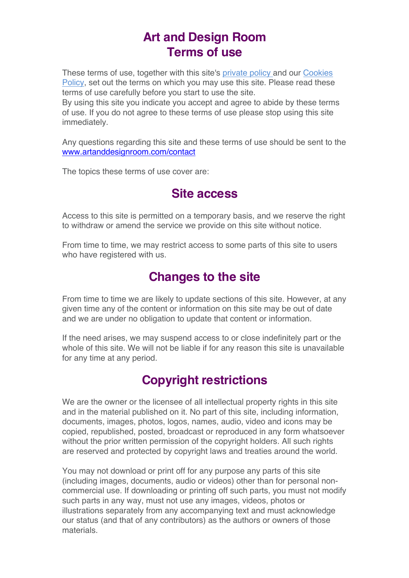### **Art and Design Room Terms of use**

These terms of use, together with this site's private policy and our Cookies Policy, set out the terms on which you may use this site. Please read these terms of use carefully before you start to use the site.

By using this site you indicate you accept and agree to abide by these terms of use. If you do not agree to these terms of use please stop using this site immediately.

Any questions regarding this site and these terms of use should be sent to the www.artanddesignroom.com/contact

The topics these terms of use cover are:

#### **Site access**

Access to this site is permitted on a temporary basis, and we reserve the right to withdraw or amend the service we provide on this site without notice.

From time to time, we may restrict access to some parts of this site to users who have registered with us.

### **Changes to the site**

From time to time we are likely to update sections of this site. However, at any given time any of the content or information on this site may be out of date and we are under no obligation to update that content or information.

If the need arises, we may suspend access to or close indefinitely part or the whole of this site. We will not be liable if for any reason this site is unavailable for any time at any period.

## **Copyright restrictions**

We are the owner or the licensee of all intellectual property rights in this site and in the material published on it. No part of this site, including information, documents, images, photos, logos, names, audio, video and icons may be copied, republished, posted, broadcast or reproduced in any form whatsoever without the prior written permission of the copyright holders. All such rights are reserved and protected by copyright laws and treaties around the world.

You may not download or print off for any purpose any parts of this site (including images, documents, audio or videos) other than for personal noncommercial use. If downloading or printing off such parts, you must not modify such parts in any way, must not use any images, videos, photos or illustrations separately from any accompanying text and must acknowledge our status (and that of any contributors) as the authors or owners of those materials.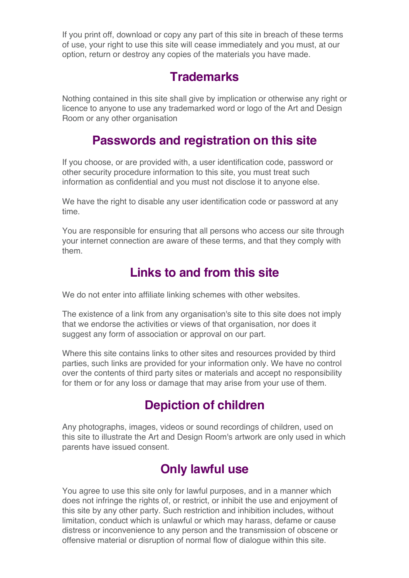If you print off, download or copy any part of this site in breach of these terms of use, your right to use this site will cease immediately and you must, at our option, return or destroy any copies of the materials you have made.

### **Trademarks**

Nothing contained in this site shall give by implication or otherwise any right or licence to anyone to use any trademarked word or logo of the Art and Design Room or any other organisation

### **Passwords and registration on this site**

If you choose, or are provided with, a user identification code, password or other security procedure information to this site, you must treat such information as confidential and you must not disclose it to anyone else.

We have the right to disable any user identification code or password at any time.

You are responsible for ensuring that all persons who access our site through your internet connection are aware of these terms, and that they comply with them.

## **Links to and from this site**

We do not enter into affiliate linking schemes with other websites.

The existence of a link from any organisation's site to this site does not imply that we endorse the activities or views of that organisation, nor does it suggest any form of association or approval on our part.

Where this site contains links to other sites and resources provided by third parties, such links are provided for your information only. We have no control over the contents of third party sites or materials and accept no responsibility for them or for any loss or damage that may arise from your use of them.

# **Depiction of children**

Any photographs, images, videos or sound recordings of children, used on this site to illustrate the Art and Design Room's artwork are only used in which parents have issued consent.

## **Only lawful use**

You agree to use this site only for lawful purposes, and in a manner which does not infringe the rights of, or restrict, or inhibit the use and enjoyment of this site by any other party. Such restriction and inhibition includes, without limitation, conduct which is unlawful or which may harass, defame or cause distress or inconvenience to any person and the transmission of obscene or offensive material or disruption of normal flow of dialogue within this site.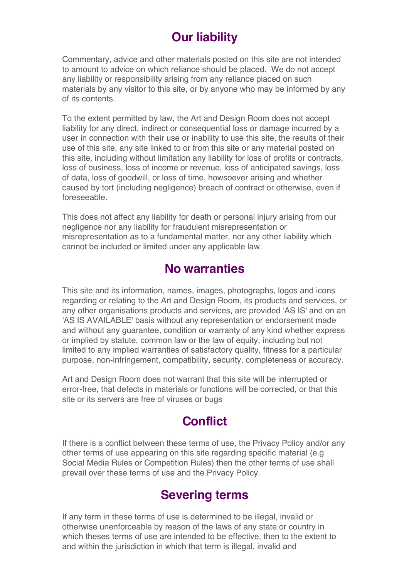# **Our liability**

Commentary, advice and other materials posted on this site are not intended to amount to advice on which reliance should be placed. We do not accept any liability or responsibility arising from any reliance placed on such materials by any visitor to this site, or by anyone who may be informed by any of its contents.

To the extent permitted by law, the Art and Design Room does not accept liability for any direct, indirect or consequential loss or damage incurred by a user in connection with their use or inability to use this site, the results of their use of this site, any site linked to or from this site or any material posted on this site, including without limitation any liability for loss of profits or contracts, loss of business, loss of income or revenue, loss of anticipated savings, loss of data, loss of goodwill, or loss of time, howsoever arising and whether caused by tort (including negligence) breach of contract or otherwise, even if foreseeable.

This does not affect any liability for death or personal injury arising from our negligence nor any liability for fraudulent misrepresentation or misrepresentation as to a fundamental matter, nor any other liability which cannot be included or limited under any applicable law.

## **No warranties**

This site and its information, names, images, photographs, logos and icons regarding or relating to the Art and Design Room, its products and services, or any other organisations products and services, are provided 'AS IS' and on an 'AS IS AVAILABLE' basis without any representation or endorsement made and without any guarantee, condition or warranty of any kind whether express or implied by statute, common law or the law of equity, including but not limited to any implied warranties of satisfactory quality, fitness for a particular purpose, non-infringement, compatibility, security, completeness or accuracy.

Art and Design Room does not warrant that this site will be interrupted or error-free, that defects in materials or functions will be corrected, or that this site or its servers are free of viruses or bugs

### **Conflict**

If there is a conflict between these terms of use, the Privacy Policy and/or any other terms of use appearing on this site regarding specific material (e.g Social Media Rules or Competition Rules) then the other terms of use shall prevail over these terms of use and the Privacy Policy.

### **Severing terms**

If any term in these terms of use is determined to be illegal, invalid or otherwise unenforceable by reason of the laws of any state or country in which theses terms of use are intended to be effective, then to the extent to and within the jurisdiction in which that term is illegal, invalid and